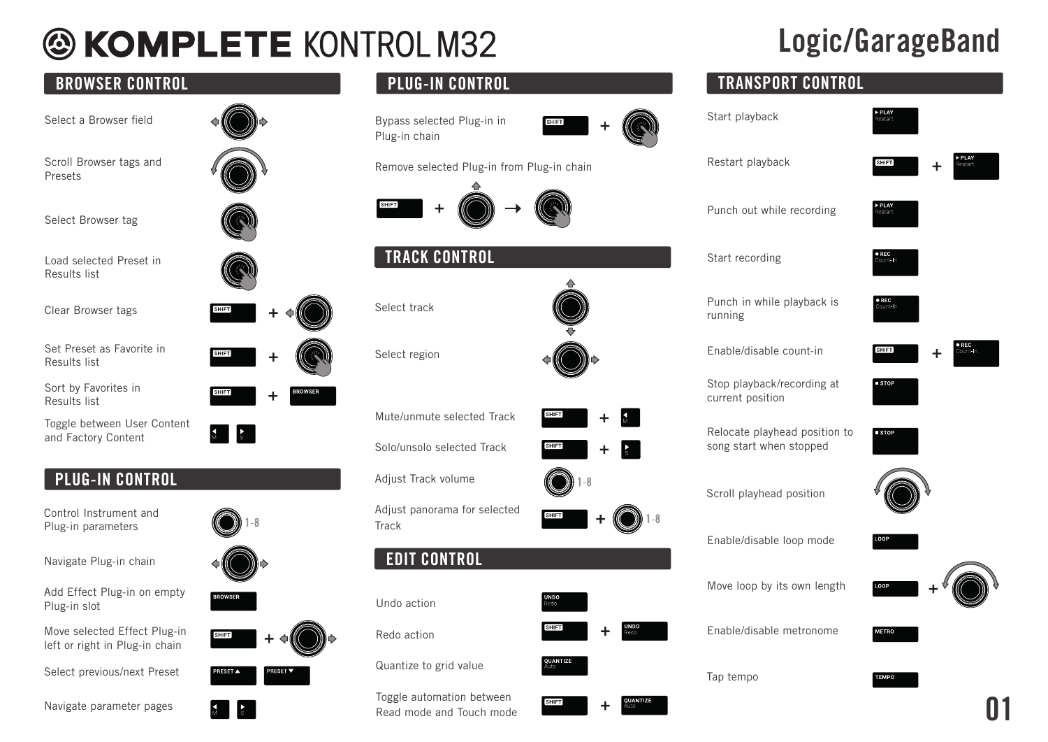# **& KOMPLETE KONTROL M32**

## BROWSER CONTROL PLUG-IN CONTROL TRANSPORT CONTROL Sort by Favorites in Results list Toggle between User Content and Factory Content Select a Browser field Set Preset as Favorite in Results list Clear Browser tags Scroll Browser tags and Presets Load selected Preset in Results list Select Browser tag PLUG-IN CONTROL Control Instrument and Plug-in parameters Navigate Plug-in chain Add Effect Plug-in on empty Plug-in slot Move selected Effect Plug-in left or right in Plug-in chain

Select previous/next Preset

Navigate parameter pages

Bypass selected Plug-in in Plug-in chain



Remove selected Plug-in from Plug-in chain





Select track

Select region

Mute/unmute selected Track

Solo/unsolo selected Track

Adjust Track volume

Adjust panorama for selected **Track** 

## EDIT CONTROL

Undo action

Redo action

Quantize to grid value

Toggle automation between Read mode and Touch mode







| <b>UNDO</b><br><b>Redo</b> |                              |
|----------------------------|------------------------------|
| <b>SHIFT</b>               | <b>UNDO</b><br><b>Angler</b> |

**QUANT ZE** 

**SHIFT** 







01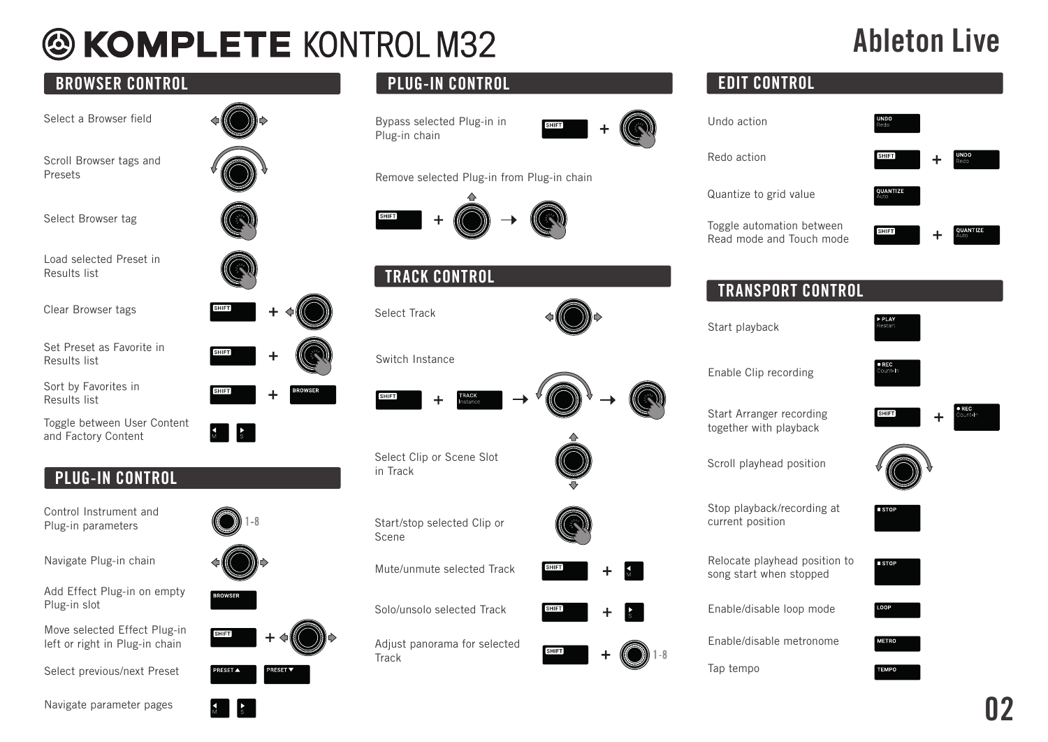# **@ KOMPLETE KONTROL M32**

## Ableton Live

 $\ddot{\phantom{1}}$ 

 $\ddot{}$ 

**UNDO**<br>Redo

**QUANTIZE** 

 $\bullet$  REC Count-In

 $\ddot{+}$ 

| <b>BROWSER CONTROL</b>                                                         | <b>PLUG-IN CONTROL</b>                                      | <b>EDIT CONTROL</b>                                                     |
|--------------------------------------------------------------------------------|-------------------------------------------------------------|-------------------------------------------------------------------------|
| Select a Browser field                                                         | Bypass selected Plug-in in<br><b>SHIFT</b><br>Plug-in chain | Undo action                                                             |
| Scroll Browser tags and<br>Presets                                             | Remove selected Plug-in from Plug-in chain                  | Redo action<br><b>SHIFT</b>                                             |
|                                                                                |                                                             | QUANTIZE<br>Quantize to grid value                                      |
| Select Browser tag                                                             |                                                             | Toggle automation between<br>SHIFT<br>Read mode and Touch mode          |
| Load selected Preset in<br>Results list                                        | <b>TRACK CONTROL</b>                                        |                                                                         |
| Clear Browser tags<br><b>SHIFT</b>                                             | Select Track                                                | <b>TRANSPORT CONTROL</b><br>Start playback                              |
| Set Preset as Favorite in<br><b>SHIFT</b><br>Results list                      | Switch Instance                                             |                                                                         |
| Sort by Favorites in<br>╈<br>Results list                                      | SHIFT                                                       | Enable Clip recording                                                   |
| Toggle between User Content<br>$\sqrt{\frac{1}{s}}$<br>and Factory Content     |                                                             | Start Arranger recording<br>[SHIFT]<br>together with playback           |
| <b>PLUG-IN CONTROL</b>                                                         | Select Clip or Scene Slot<br>in Track                       | Scroll playhead position                                                |
| Control Instrument and<br>Plug-in parameters                                   | Start/stop selected Clip or<br>Scene                        | Stop playback/recording at<br>current position                          |
| Navigate Plug-in chain                                                         | <b>SHIFT</b><br>Mute/unmute selected Track                  | Relocate playhead position to<br><b>STOP</b><br>song start when stopped |
| Add Effect Plug-in on empty<br>Plug-in slot                                    | Solo/unsolo selected Track<br><b>SHIFT</b>                  | Enable/disable loop mode                                                |
| Move selected Effect Plug-in<br><b>SHIFT</b><br>left or right in Plug-in chain | Adjust panorama for selected<br><b>SHIFT</b>                | Enable/disable metronome<br><b>METRO</b>                                |
| Select previous/next Preset<br><b>PRESET ▲</b><br><b>RESET V</b>               | Track                                                       | Tap tempo<br><b>TEMPO</b>                                               |

Navigate parameter pages

 $\mathbf{r}$ 

 $\mathbf{A}$